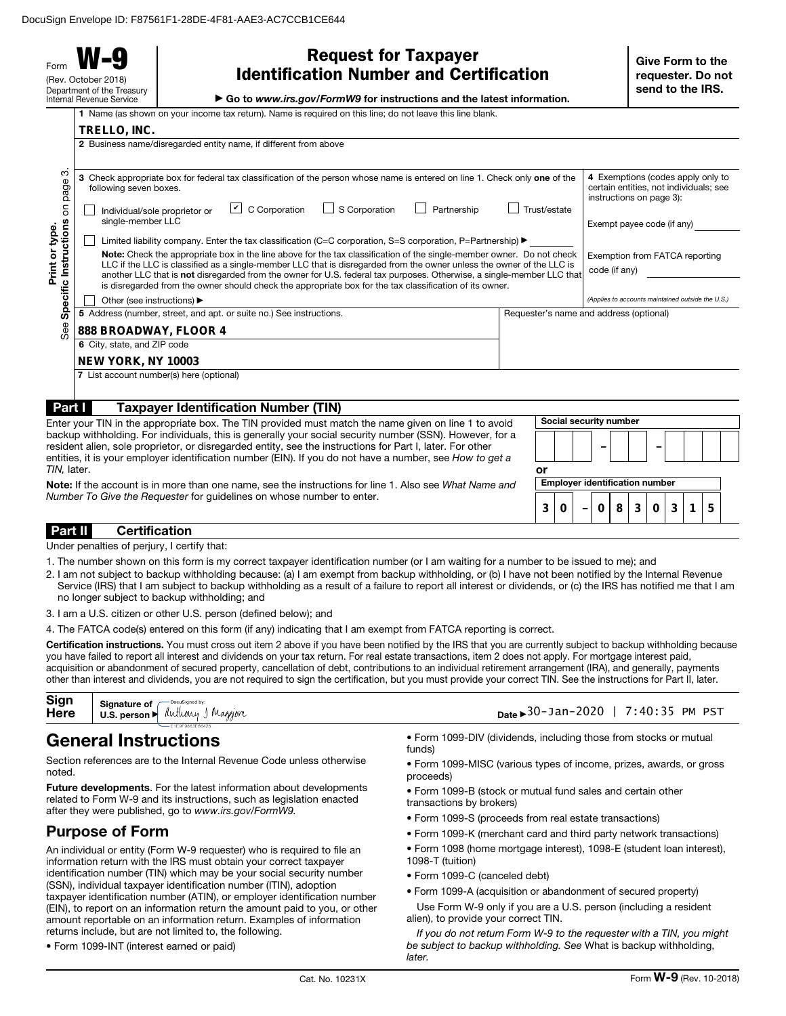Form **W-9** (Rev. October 2018) Department of the Treasury Internal Revenue Service

 $\overline{1}$  Name (as show

**TRELLO, INC.**

| <b>Request for Taxpayer</b>                    |  |
|------------------------------------------------|--|
| <b>Identification Number and Certification</b> |  |

▶ Go to *www.irs.gov/FormW9* for instructions and the latest information.

|  | n on your income tax return). Name is required on this line: do not leave this line blank |  |
|--|-------------------------------------------------------------------------------------------|--|

|                                                                                                                                                                                                                                                                                                                                                                                                                                                                                                                                                                        | 2 Business name/disregarded entity name, if different from above                                                                                                                                                                                                                                                                                                                                                                          |                                                                                                         |  |  |  |  |  |
|------------------------------------------------------------------------------------------------------------------------------------------------------------------------------------------------------------------------------------------------------------------------------------------------------------------------------------------------------------------------------------------------------------------------------------------------------------------------------------------------------------------------------------------------------------------------|-------------------------------------------------------------------------------------------------------------------------------------------------------------------------------------------------------------------------------------------------------------------------------------------------------------------------------------------------------------------------------------------------------------------------------------------|---------------------------------------------------------------------------------------------------------|--|--|--|--|--|
| ო<br>page                                                                                                                                                                                                                                                                                                                                                                                                                                                                                                                                                              | 3 Check appropriate box for federal tax classification of the person whose name is entered on line 1. Check only one of the<br>following seven boxes.                                                                                                                                                                                                                                                                                     | 4 Exemptions (codes apply only to<br>certain entities, not individuals; see<br>instructions on page 3): |  |  |  |  |  |
| δ                                                                                                                                                                                                                                                                                                                                                                                                                                                                                                                                                                      | $\cup$ C Corporation<br>S Corporation<br>Partnership<br>Trust/estate<br>Individual/sole proprietor or<br>single-member LLC                                                                                                                                                                                                                                                                                                                | Exempt payee code (if any)                                                                              |  |  |  |  |  |
|                                                                                                                                                                                                                                                                                                                                                                                                                                                                                                                                                                        | Limited liability company. Enter the tax classification (C=C corporation, S=S corporation, P=Partnership) $\blacktriangleright$                                                                                                                                                                                                                                                                                                           |                                                                                                         |  |  |  |  |  |
| Instructions<br>Print or type<br>Note: Check the appropriate box in the line above for the tax classification of the single-member owner. Do not check<br>Exemption from FATCA reporting<br>LLC if the LLC is classified as a single-member LLC that is disregarded from the owner unless the owner of the LLC is<br>code (if any)<br>another LLC that is not disregarded from the owner for U.S. federal tax purposes. Otherwise, a single-member LLC that<br>is disregarded from the owner should check the appropriate box for the tax classification of its owner. |                                                                                                                                                                                                                                                                                                                                                                                                                                           |                                                                                                         |  |  |  |  |  |
| Specific                                                                                                                                                                                                                                                                                                                                                                                                                                                                                                                                                               | Other (see instructions) ▶                                                                                                                                                                                                                                                                                                                                                                                                                | (Applies to accounts maintained outside the U.S.)                                                       |  |  |  |  |  |
|                                                                                                                                                                                                                                                                                                                                                                                                                                                                                                                                                                        | 5 Address (number, street, and apt. or suite no.) See instructions.<br>Requester's name and address (optional)                                                                                                                                                                                                                                                                                                                            |                                                                                                         |  |  |  |  |  |
| See<br>888 BROADWAY, FLOOR 4                                                                                                                                                                                                                                                                                                                                                                                                                                                                                                                                           |                                                                                                                                                                                                                                                                                                                                                                                                                                           |                                                                                                         |  |  |  |  |  |
|                                                                                                                                                                                                                                                                                                                                                                                                                                                                                                                                                                        | 6 City, state, and ZIP code                                                                                                                                                                                                                                                                                                                                                                                                               |                                                                                                         |  |  |  |  |  |
|                                                                                                                                                                                                                                                                                                                                                                                                                                                                                                                                                                        | <b>NEW YORK, NY 10003</b>                                                                                                                                                                                                                                                                                                                                                                                                                 |                                                                                                         |  |  |  |  |  |
|                                                                                                                                                                                                                                                                                                                                                                                                                                                                                                                                                                        | 7 List account number(s) here (optional)                                                                                                                                                                                                                                                                                                                                                                                                  |                                                                                                         |  |  |  |  |  |
| Part I                                                                                                                                                                                                                                                                                                                                                                                                                                                                                                                                                                 | <b>Taxpayer Identification Number (TIN)</b>                                                                                                                                                                                                                                                                                                                                                                                               |                                                                                                         |  |  |  |  |  |
|                                                                                                                                                                                                                                                                                                                                                                                                                                                                                                                                                                        | Enter your TIN in the appropriate box. The TIN provided must match the name given on line 1 to avoid<br>backup withholding. For individuals, this is generally your social security number (SSN). However, for a<br>resident alien, sole proprietor, or disregarded entity, see the instructions for Part I, later. For other<br>entities, it is your employer identification number (EIN). If you do not have a number, see How to get a | Social security number                                                                                  |  |  |  |  |  |
|                                                                                                                                                                                                                                                                                                                                                                                                                                                                                                                                                                        |                                                                                                                                                                                                                                                                                                                                                                                                                                           |                                                                                                         |  |  |  |  |  |

| <b>Note:</b> If the account is in more than one name, see the instructions for line 1. Also see What Name and |
|---------------------------------------------------------------------------------------------------------------|
| Number To Give the Requester for quidelines on whose number to enter.                                         |

| Οľ | <b>Employer identification number</b> |  |       |              |   |  |
|----|---------------------------------------|--|-------|--------------|---|--|
| 3  |                                       |  | 8 3 0 | $\mathbf{3}$ | ҕ |  |

Part II Certification

*TIN,* later.

Under penalties of perjury, I certify that:

- 1. The number shown on this form is my correct taxpayer identification number (or I am waiting for a number to be issued to me); and
- 2. I am not subject to backup withholding because: (a) I am exempt from backup withholding, or (b) I have not been notified by the Internal Revenue Service (IRS) that I am subject to backup withholding as a result of a failure to report all interest or dividends, or (c) the IRS has notified me that I am no longer subject to backup withholding; and
- 3. I am a U.S. citizen or other U.S. person (defined below); and
- 4. The FATCA code(s) entered on this form (if any) indicating that I am exempt from FATCA reporting is correct.

Certification instructions. You must cross out item 2 above if you have been notified by the IRS that you are currently subject to backup withholding because you have failed to report all interest and dividends on your tax return. For real estate transactions, item 2 does not apply. For mortgage interest paid, acquisition or abandonment of secured property, cancellation of debt, contributions to an individual retirement arrangement (IRA), and generally, payments other than interest and dividends, you are not required to sign the certification, but you must provide your correct TIN. See the instructions for Part II, later.

| Sign | Sign Signature of Docusianed by:<br><b>Here</b> U.S. person Muthony J Maggior | Date ► 30-Jan-2020   7:40:35 PM PST |
|------|-------------------------------------------------------------------------------|-------------------------------------|
|      |                                                                               |                                     |

# General Instructions

Section references are to the Internal Revenue Code unless otherwise noted.

Future developments. For the latest information about developments related to Form W-9 and its instructions, such as legislation enacted after they were published, go to *www.irs.gov/FormW9.*

## Purpose of Form

An individual or entity (Form W-9 requester) who is required to file an information return with the IRS must obtain your correct taxpayer identification number (TIN) which may be your social security number (SSN), individual taxpayer identification number (ITIN), adoption taxpayer identification number (ATIN), or employer identification number (EIN), to report on an information return the amount paid to you, or other amount reportable on an information return. Examples of information returns include, but are not limited to, the following.

• Form 1099-INT (interest earned or paid)

• Form 1099-DIV (dividends, including those from stocks or mutual funds)

- Form 1099-MISC (various types of income, prizes, awards, or gross proceeds)
- Form 1099-B (stock or mutual fund sales and certain other transactions by brokers)
- Form 1099-S (proceeds from real estate transactions)
- Form 1099-K (merchant card and third party network transactions)
- Form 1098 (home mortgage interest), 1098-E (student loan interest),
- 1098-T (tuition)
- Form 1099-C (canceled debt)
- Form 1099-A (acquisition or abandonment of secured property)
- Use Form W-9 only if you are a U.S. person (including a resident alien), to provide your correct TIN.

*If you do not return Form W-9 to the requester with a TIN, you might be subject to backup withholding. See* What is backup withholding, *later.*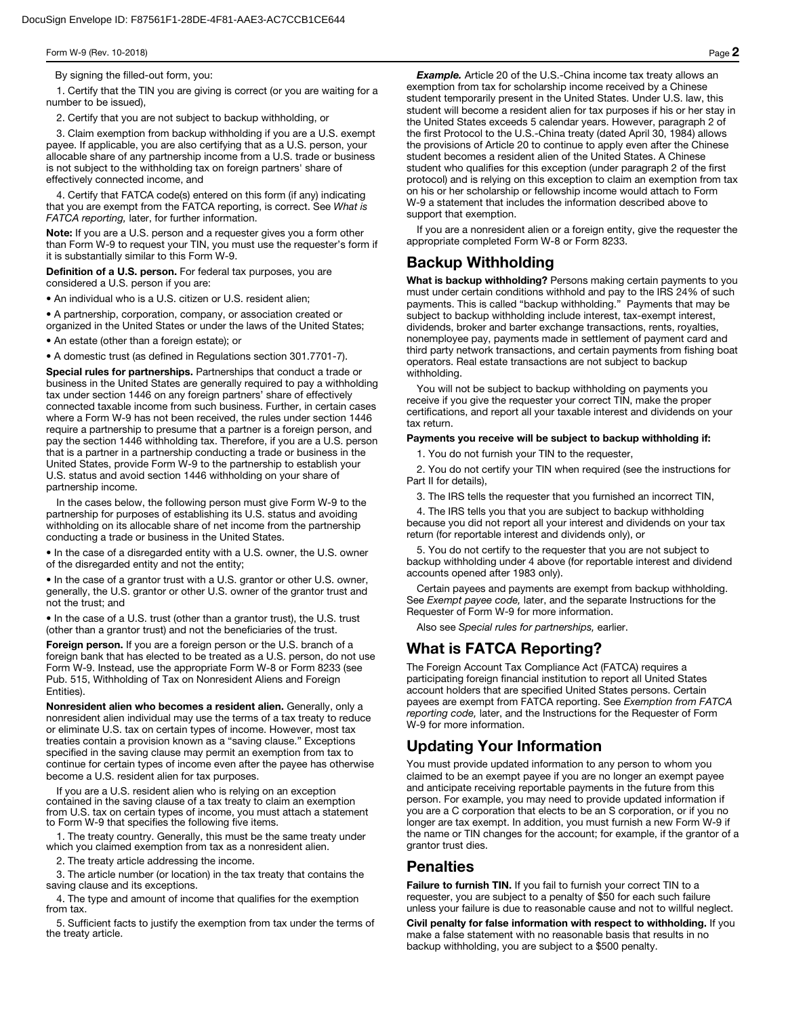By signing the filled-out form, you:

1. Certify that the TIN you are giving is correct (or you are waiting for a number to be issued),

2. Certify that you are not subject to backup withholding, or

3. Claim exemption from backup withholding if you are a U.S. exempt payee. If applicable, you are also certifying that as a U.S. person, your allocable share of any partnership income from a U.S. trade or business is not subject to the withholding tax on foreign partners' share of effectively connected income, and

4. Certify that FATCA code(s) entered on this form (if any) indicating that you are exempt from the FATCA reporting, is correct. See *What is FATCA reporting,* later, for further information.

Note: If you are a U.S. person and a requester gives you a form other than Form W-9 to request your TIN, you must use the requester's form if it is substantially similar to this Form W-9.

Definition of a U.S. person. For federal tax purposes, you are considered a U.S. person if you are:

• An individual who is a U.S. citizen or U.S. resident alien;

• A partnership, corporation, company, or association created or organized in the United States or under the laws of the United States;

• An estate (other than a foreign estate); or

• A domestic trust (as defined in Regulations section 301.7701-7).

Special rules for partnerships. Partnerships that conduct a trade or business in the United States are generally required to pay a withholding tax under section 1446 on any foreign partners' share of effectively connected taxable income from such business. Further, in certain cases where a Form W-9 has not been received, the rules under section 1446 require a partnership to presume that a partner is a foreign person, and pay the section 1446 withholding tax. Therefore, if you are a U.S. person that is a partner in a partnership conducting a trade or business in the United States, provide Form W-9 to the partnership to establish your U.S. status and avoid section 1446 withholding on your share of partnership income.

In the cases below, the following person must give Form W-9 to the partnership for purposes of establishing its U.S. status and avoiding withholding on its allocable share of net income from the partnership conducting a trade or business in the United States.

• In the case of a disregarded entity with a U.S. owner, the U.S. owner of the disregarded entity and not the entity;

• In the case of a grantor trust with a U.S. grantor or other U.S. owner, generally, the U.S. grantor or other U.S. owner of the grantor trust and not the trust; and

• In the case of a U.S. trust (other than a grantor trust), the U.S. trust (other than a grantor trust) and not the beneficiaries of the trust.

Foreign person. If you are a foreign person or the U.S. branch of a foreign bank that has elected to be treated as a U.S. person, do not use Form W-9. Instead, use the appropriate Form W-8 or Form 8233 (see Pub. 515, Withholding of Tax on Nonresident Aliens and Foreign Entities).

Nonresident alien who becomes a resident alien. Generally, only a nonresident alien individual may use the terms of a tax treaty to reduce or eliminate U.S. tax on certain types of income. However, most tax treaties contain a provision known as a "saving clause." Exceptions specified in the saving clause may permit an exemption from tax to continue for certain types of income even after the payee has otherwise become a U.S. resident alien for tax purposes.

If you are a U.S. resident alien who is relying on an exception contained in the saving clause of a tax treaty to claim an exemption from U.S. tax on certain types of income, you must attach a statement to Form W-9 that specifies the following five items.

1. The treaty country. Generally, this must be the same treaty under which you claimed exemption from tax as a nonresident alien.

2. The treaty article addressing the income.

3. The article number (or location) in the tax treaty that contains the saving clause and its exceptions.

4. The type and amount of income that qualifies for the exemption from tax.

5. Sufficient facts to justify the exemption from tax under the terms of the treaty article.

**Example.** Article 20 of the U.S.-China income tax treaty allows an exemption from tax for scholarship income received by a Chinese student temporarily present in the United States. Under U.S. law, this student will become a resident alien for tax purposes if his or her stay in the United States exceeds 5 calendar years. However, paragraph 2 of the first Protocol to the U.S.-China treaty (dated April 30, 1984) allows the provisions of Article 20 to continue to apply even after the Chinese student becomes a resident alien of the United States. A Chinese student who qualifies for this exception (under paragraph 2 of the first protocol) and is relying on this exception to claim an exemption from tax on his or her scholarship or fellowship income would attach to Form W-9 a statement that includes the information described above to support that exemption.

If you are a nonresident alien or a foreign entity, give the requester the appropriate completed Form W-8 or Form 8233.

## Backup Withholding

What is backup withholding? Persons making certain payments to you must under certain conditions withhold and pay to the IRS 24% of such payments. This is called "backup withholding." Payments that may be subject to backup withholding include interest, tax-exempt interest, dividends, broker and barter exchange transactions, rents, royalties, nonemployee pay, payments made in settlement of payment card and third party network transactions, and certain payments from fishing boat operators. Real estate transactions are not subject to backup withholding.

You will not be subject to backup withholding on payments you receive if you give the requester your correct TIN, make the proper certifications, and report all your taxable interest and dividends on your tax return.

#### Payments you receive will be subject to backup withholding if:

1. You do not furnish your TIN to the requester,

2. You do not certify your TIN when required (see the instructions for Part II for details),

3. The IRS tells the requester that you furnished an incorrect TIN,

4. The IRS tells you that you are subject to backup withholding because you did not report all your interest and dividends on your tax return (for reportable interest and dividends only), or

5. You do not certify to the requester that you are not subject to backup withholding under 4 above (for reportable interest and dividend accounts opened after 1983 only).

Certain payees and payments are exempt from backup withholding. See *Exempt payee code,* later, and the separate Instructions for the Requester of Form W-9 for more information.

Also see *Special rules for partnerships,* earlier.

## What is FATCA Reporting?

The Foreign Account Tax Compliance Act (FATCA) requires a participating foreign financial institution to report all United States account holders that are specified United States persons. Certain payees are exempt from FATCA reporting. See *Exemption from FATCA reporting code,* later, and the Instructions for the Requester of Form W-9 for more information.

## Updating Your Information

You must provide updated information to any person to whom you claimed to be an exempt payee if you are no longer an exempt payee and anticipate receiving reportable payments in the future from this person. For example, you may need to provide updated information if you are a C corporation that elects to be an S corporation, or if you no longer are tax exempt. In addition, you must furnish a new Form W-9 if the name or TIN changes for the account; for example, if the grantor of a grantor trust dies.

## **Penalties**

Failure to furnish TIN. If you fail to furnish your correct TIN to a requester, you are subject to a penalty of \$50 for each such failure unless your failure is due to reasonable cause and not to willful neglect.

Civil penalty for false information with respect to withholding. If you make a false statement with no reasonable basis that results in no backup withholding, you are subject to a \$500 penalty.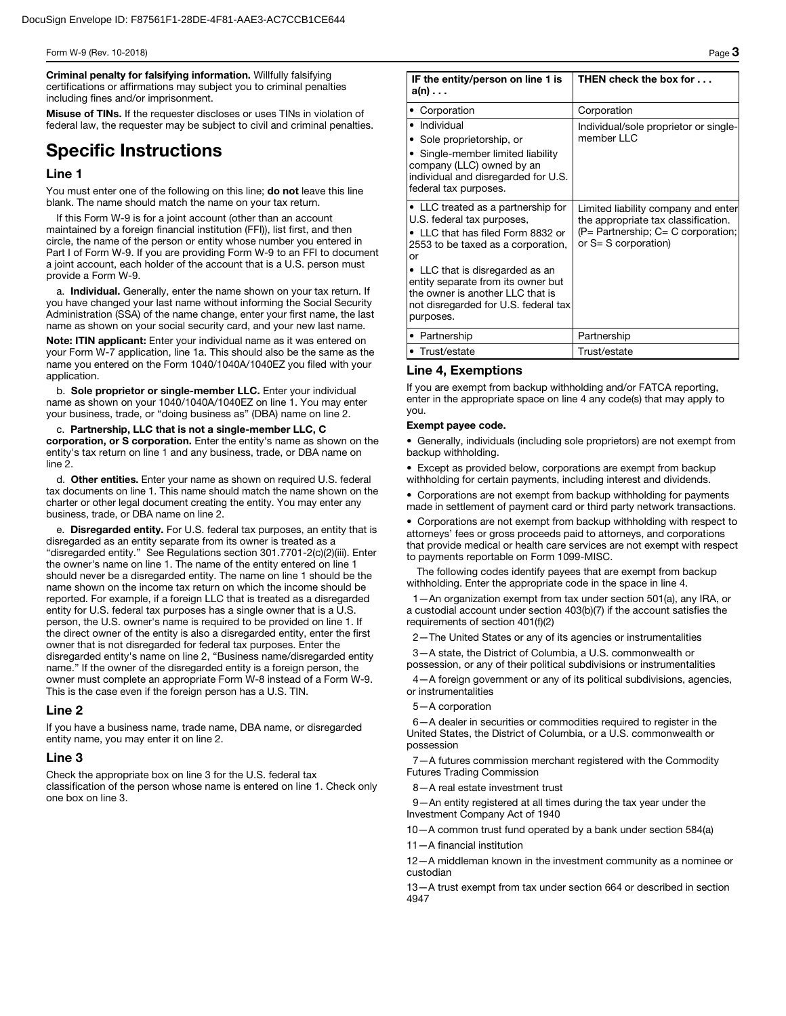Criminal penalty for falsifying information. Willfully falsifying certifications or affirmations may subject you to criminal penalties including fines and/or imprisonment.

Misuse of TINs. If the requester discloses or uses TINs in violation of federal law, the requester may be subject to civil and criminal penalties.

# Specific Instructions

#### Line 1

You must enter one of the following on this line; do not leave this line blank. The name should match the name on your tax return.

If this Form W-9 is for a joint account (other than an account maintained by a foreign financial institution (FFI)), list first, and then circle, the name of the person or entity whose number you entered in Part I of Form W-9. If you are providing Form W-9 to an FFI to document a joint account, each holder of the account that is a U.S. person must provide a Form W-9.

a. Individual. Generally, enter the name shown on your tax return. If you have changed your last name without informing the Social Security Administration (SSA) of the name change, enter your first name, the last name as shown on your social security card, and your new last name.

Note: ITIN applicant: Enter your individual name as it was entered on your Form W-7 application, line 1a. This should also be the same as the name you entered on the Form 1040/1040A/1040EZ you filed with your application.

b. Sole proprietor or single-member LLC. Enter your individual name as shown on your 1040/1040A/1040EZ on line 1. You may enter your business, trade, or "doing business as" (DBA) name on line 2.

c. Partnership, LLC that is not a single-member LLC, C corporation, or S corporation. Enter the entity's name as shown on the entity's tax return on line 1 and any business, trade, or DBA name on line 2.

d. Other entities. Enter your name as shown on required U.S. federal tax documents on line 1. This name should match the name shown on the charter or other legal document creating the entity. You may enter any business, trade, or DBA name on line 2.

e. Disregarded entity. For U.S. federal tax purposes, an entity that is disregarded as an entity separate from its owner is treated as a "disregarded entity." See Regulations section 301.7701-2(c)(2)(iii). Enter the owner's name on line 1. The name of the entity entered on line 1 should never be a disregarded entity. The name on line 1 should be the name shown on the income tax return on which the income should be reported. For example, if a foreign LLC that is treated as a disregarded entity for U.S. federal tax purposes has a single owner that is a U.S. person, the U.S. owner's name is required to be provided on line 1. If the direct owner of the entity is also a disregarded entity, enter the first owner that is not disregarded for federal tax purposes. Enter the disregarded entity's name on line 2, "Business name/disregarded entity name." If the owner of the disregarded entity is a foreign person, the owner must complete an appropriate Form W-8 instead of a Form W-9. This is the case even if the foreign person has a U.S. TIN.

#### Line 2

If you have a business name, trade name, DBA name, or disregarded entity name, you may enter it on line 2.

#### Line 3

Check the appropriate box on line 3 for the U.S. federal tax classification of the person whose name is entered on line 1. Check only one box on line 3.

| IF the entity/person on line 1 is<br>$a(n) \ldots$                                                                                                                                                                                                                                                                  | THEN check the box for                                                                                                                            |
|---------------------------------------------------------------------------------------------------------------------------------------------------------------------------------------------------------------------------------------------------------------------------------------------------------------------|---------------------------------------------------------------------------------------------------------------------------------------------------|
| • Corporation                                                                                                                                                                                                                                                                                                       | Corporation                                                                                                                                       |
| • Individual<br>• Sole proprietorship, or<br>Single-member limited liability<br>company (LLC) owned by an<br>individual and disregarded for U.S.<br>federal tax purposes.                                                                                                                                           | Individual/sole proprietor or single-<br>member LLC                                                                                               |
| • LLC treated as a partnership for<br>U.S. federal tax purposes,<br>• LLC that has filed Form 8832 or<br>2553 to be taxed as a corporation,<br>or<br>• LLC that is disregarded as an<br>entity separate from its owner but<br>the owner is another LLC that is<br>not disregarded for U.S. federal tax<br>purposes. | Limited liability company and enter<br>the appropriate tax classification.<br>$(P =$ Partnership; $C = C$ corporation;<br>or $S = S$ corporation) |
| • Partnership                                                                                                                                                                                                                                                                                                       | Partnership                                                                                                                                       |

## Line 4, Exemptions

If you are exempt from backup withholding and/or FATCA reporting, enter in the appropriate space on line 4 any code(s) that may apply to you.

Trust/estate Trust/estate

#### Exempt payee code.

• Generally, individuals (including sole proprietors) are not exempt from backup withholding.

• Except as provided below, corporations are exempt from backup withholding for certain payments, including interest and dividends.

• Corporations are not exempt from backup withholding for payments made in settlement of payment card or third party network transactions.

• Corporations are not exempt from backup withholding with respect to attorneys' fees or gross proceeds paid to attorneys, and corporations that provide medical or health care services are not exempt with respect to payments reportable on Form 1099-MISC.

The following codes identify payees that are exempt from backup withholding. Enter the appropriate code in the space in line 4.

1—An organization exempt from tax under section 501(a), any IRA, or a custodial account under section 403(b)(7) if the account satisfies the requirements of section 401(f)(2)

2—The United States or any of its agencies or instrumentalities

3—A state, the District of Columbia, a U.S. commonwealth or possession, or any of their political subdivisions or instrumentalities

4—A foreign government or any of its political subdivisions, agencies, or instrumentalities

#### 5—A corporation

6—A dealer in securities or commodities required to register in the United States, the District of Columbia, or a U.S. commonwealth or possession

7—A futures commission merchant registered with the Commodity Futures Trading Commission

8—A real estate investment trust

9—An entity registered at all times during the tax year under the Investment Company Act of 1940

10—A common trust fund operated by a bank under section 584(a)

11—A financial institution

12—A middleman known in the investment community as a nominee or custodian

13—A trust exempt from tax under section 664 or described in section 4947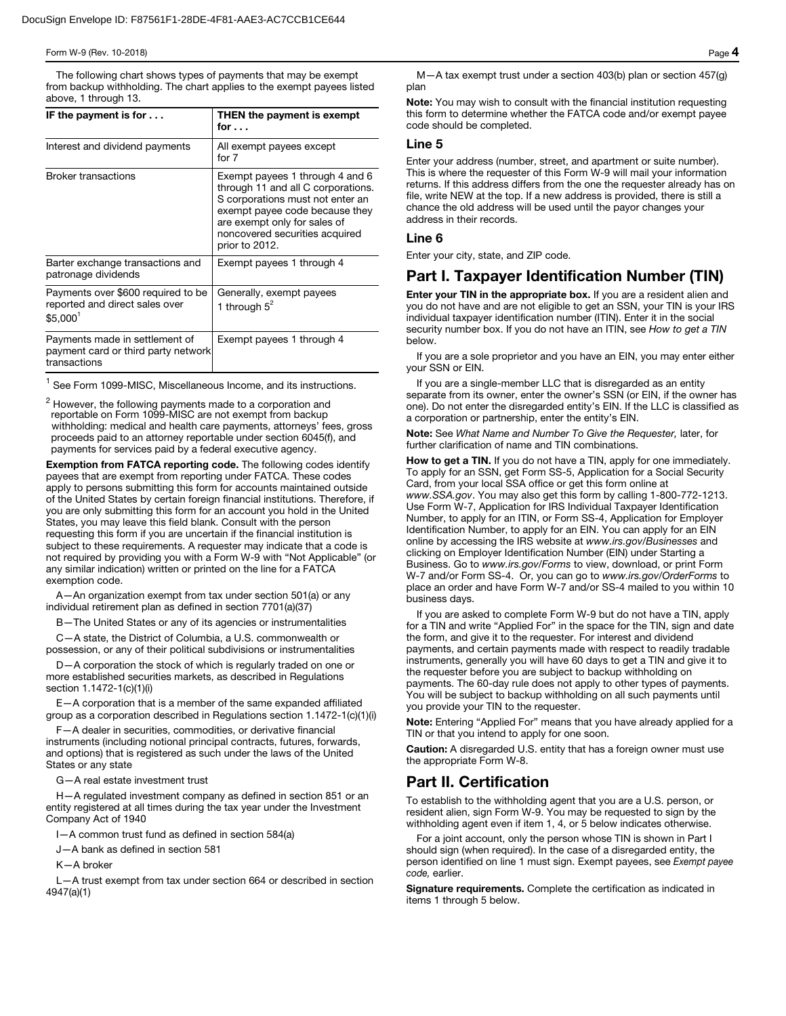#### Form W-9 (Rev. 10-2018) Page  $\boldsymbol{4}$

The following chart shows types of payments that may be exempt from backup withholding. The chart applies to the exempt payees listed above, 1 through 13.

| IF the payment is for $\dots$                                                                | THEN the payment is exempt<br>for $\ldots$                                                                                                                                                                                      |
|----------------------------------------------------------------------------------------------|---------------------------------------------------------------------------------------------------------------------------------------------------------------------------------------------------------------------------------|
| Interest and dividend payments                                                               | All exempt payees except<br>for $7$                                                                                                                                                                                             |
| <b>Broker transactions</b>                                                                   | Exempt payees 1 through 4 and 6<br>through 11 and all C corporations.<br>S corporations must not enter an<br>exempt payee code because they<br>are exempt only for sales of<br>noncovered securities acquired<br>prior to 2012. |
| Barter exchange transactions and<br>patronage dividends                                      | Exempt payees 1 through 4                                                                                                                                                                                                       |
| Payments over \$600 required to be<br>reported and direct sales over<br>\$5.000 <sup>1</sup> | Generally, exempt payees<br>1 through $5^2$                                                                                                                                                                                     |
| Payments made in settlement of<br>payment card or third party network<br>transactions        | Exempt payees 1 through 4                                                                                                                                                                                                       |

 $<sup>1</sup>$  See Form 1099-MISC, Miscellaneous Income, and its instructions.</sup>

 $^2$  However, the following payments made to a corporation and<br>reportable on Form 1099-MISC are not exempt from backup withholding: medical and health care payments, attorneys' fees, gross proceeds paid to an attorney reportable under section 6045(f), and payments for services paid by a federal executive agency.

Exemption from FATCA reporting code. The following codes identify payees that are exempt from reporting under FATCA. These codes apply to persons submitting this form for accounts maintained outside of the United States by certain foreign financial institutions. Therefore, if you are only submitting this form for an account you hold in the United States, you may leave this field blank. Consult with the person requesting this form if you are uncertain if the financial institution is subject to these requirements. A requester may indicate that a code is not required by providing you with a Form W-9 with "Not Applicable" (or any similar indication) written or printed on the line for a FATCA exemption code.

A—An organization exempt from tax under section 501(a) or any individual retirement plan as defined in section 7701(a)(37)

- The United States or any of its agencies or instrumentalities

C—A state, the District of Columbia, a U.S. commonwealth or possession, or any of their political subdivisions or instrumentalities

D—A corporation the stock of which is regularly traded on one or more established securities markets, as described in Regulations section 1.1472-1(c)(1)(i)

E—A corporation that is a member of the same expanded affiliated group as a corporation described in Regulations section 1.1472-1(c)(1)(i)

F—A dealer in securities, commodities, or derivative financial instruments (including notional principal contracts, futures, forwards, and options) that is registered as such under the laws of the United States or any state

G—A real estate investment trust

H—A regulated investment company as defined in section 851 or an entity registered at all times during the tax year under the Investment Company Act of 1940

I—A common trust fund as defined in section 584(a)

J—A bank as defined in section 581

K—A broker

L—A trust exempt from tax under section 664 or described in section 4947(a)(1)

M—A tax exempt trust under a section 403(b) plan or section 457(g) plan

Note: You may wish to consult with the financial institution requesting this form to determine whether the FATCA code and/or exempt payee code should be completed.

#### Line 5

Enter your address (number, street, and apartment or suite number). This is where the requester of this Form W-9 will mail your information returns. If this address differs from the one the requester already has on file, write NEW at the top. If a new address is provided, there is still a chance the old address will be used until the payor changes your address in their records.

#### Line 6

Enter your city, state, and ZIP code.

## Part I. Taxpayer Identification Number (TIN)

Enter your TIN in the appropriate box. If you are a resident alien and you do not have and are not eligible to get an SSN, your TIN is your IRS individual taxpayer identification number (ITIN). Enter it in the social security number box. If you do not have an ITIN, see *How to get a TIN*  below.

If you are a sole proprietor and you have an EIN, you may enter either your SSN or EIN.

If you are a single-member LLC that is disregarded as an entity separate from its owner, enter the owner's SSN (or EIN, if the owner has one). Do not enter the disregarded entity's EIN. If the LLC is classified as a corporation or partnership, enter the entity's EIN.

Note: See *What Name and Number To Give the Requester,* later, for further clarification of name and TIN combinations.

How to get a TIN. If you do not have a TIN, apply for one immediately. To apply for an SSN, get Form SS-5, Application for a Social Security Card, from your local SSA office or get this form online at *www.SSA.gov*. You may also get this form by calling 1-800-772-1213. Use Form W-7, Application for IRS Individual Taxpayer Identification Number, to apply for an ITIN, or Form SS-4, Application for Employer Identification Number, to apply for an EIN. You can apply for an EIN online by accessing the IRS website at *www.irs.gov/Businesses* and clicking on Employer Identification Number (EIN) under Starting a Business. Go to *www.irs.gov/Forms* to view, download, or print Form W-7 and/or Form SS-4. Or, you can go to *www.irs.gov/OrderForms* to place an order and have Form W-7 and/or SS-4 mailed to you within 10 business days.

If you are asked to complete Form W-9 but do not have a TIN, apply for a TIN and write "Applied For" in the space for the TIN, sign and date the form, and give it to the requester. For interest and dividend payments, and certain payments made with respect to readily tradable instruments, generally you will have 60 days to get a TIN and give it to the requester before you are subject to backup withholding on payments. The 60-day rule does not apply to other types of payments. You will be subject to backup withholding on all such payments until you provide your TIN to the requester.

Note: Entering "Applied For" means that you have already applied for a TIN or that you intend to apply for one soon.

Caution: A disregarded U.S. entity that has a foreign owner must use the appropriate Form W-8.

## Part II. Certification

To establish to the withholding agent that you are a U.S. person, or resident alien, sign Form W-9. You may be requested to sign by the withholding agent even if item 1, 4, or 5 below indicates otherwise.

For a joint account, only the person whose TIN is shown in Part I should sign (when required). In the case of a disregarded entity, the person identified on line 1 must sign. Exempt payees, see *Exempt payee code,* earlier.

Signature requirements. Complete the certification as indicated in items 1 through 5 below.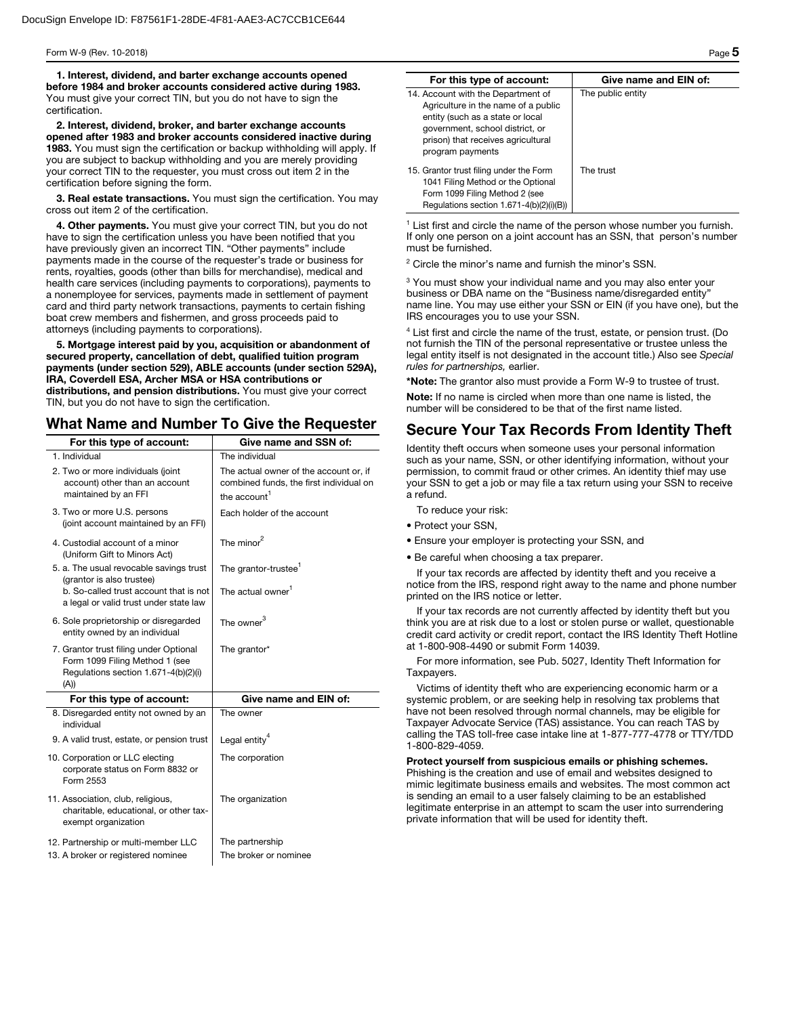1. Interest, dividend, and barter exchange accounts opened before 1984 and broker accounts considered active during 1983. You must give your correct TIN, but you do not have to sign the certification.

2. Interest, dividend, broker, and barter exchange accounts opened after 1983 and broker accounts considered inactive during 1983. You must sign the certification or backup withholding will apply. If you are subject to backup withholding and you are merely providing your correct TIN to the requester, you must cross out item 2 in the certification before signing the form.

3. Real estate transactions. You must sign the certification. You may cross out item 2 of the certification.

4. Other payments. You must give your correct TIN, but you do not have to sign the certification unless you have been notified that you have previously given an incorrect TIN. "Other payments" include payments made in the course of the requester's trade or business for rents, royalties, goods (other than bills for merchandise), medical and health care services (including payments to corporations), payments to a nonemployee for services, payments made in settlement of payment card and third party network transactions, payments to certain fishing boat crew members and fishermen, and gross proceeds paid to attorneys (including payments to corporations).

5. Mortgage interest paid by you, acquisition or abandonment of secured property, cancellation of debt, qualified tuition program payments (under section 529), ABLE accounts (under section 529A), IRA, Coverdell ESA, Archer MSA or HSA contributions or distributions, and pension distributions. You must give your correct TIN, but you do not have to sign the certification.

## What Name and Number To Give the Requester

| For this type of account:                                                                                                | Give name and SSN of:                                                                                         |
|--------------------------------------------------------------------------------------------------------------------------|---------------------------------------------------------------------------------------------------------------|
| 1. Individual                                                                                                            | The individual                                                                                                |
| 2. Two or more individuals (joint<br>account) other than an account<br>maintained by an FFI                              | The actual owner of the account or, if<br>combined funds, the first individual on<br>the account <sup>1</sup> |
| 3. Two or more U.S. persons<br>(joint account maintained by an FFI)                                                      | Each holder of the account                                                                                    |
| 4. Custodial account of a minor<br>(Uniform Gift to Minors Act)                                                          | The minor $^2$                                                                                                |
| 5. a. The usual revocable savings trust<br>(grantor is also trustee)                                                     | The grantor-trustee <sup>1</sup>                                                                              |
| b. So-called trust account that is not<br>a legal or valid trust under state law                                         | The actual owner <sup>1</sup>                                                                                 |
| 6. Sole proprietorship or disregarded<br>entity owned by an individual                                                   | The owner $^3$                                                                                                |
| 7. Grantor trust filing under Optional<br>Form 1099 Filing Method 1 (see<br>Regulations section 1.671-4(b)(2)(i)<br>(A)) | The grantor*                                                                                                  |
| For this type of account:                                                                                                | Give name and EIN of:                                                                                         |
| 8. Disregarded entity not owned by an<br>individual                                                                      | The owner                                                                                                     |
| 9. A valid trust, estate, or pension trust                                                                               | Legal entity <sup>4</sup>                                                                                     |
| 10. Corporation or LLC electing<br>corporate status on Form 8832 or<br>Form 2553                                         | The corporation                                                                                               |
| 11. Association, club, religious,<br>charitable, educational, or other tax-<br>exempt organization                       | The organization                                                                                              |
| 12. Partnership or multi-member LLC<br>13. A broker or registered nominee                                                | The partnership<br>The broker or nominee                                                                      |

| For this type of account:                                                                                                                                                                                  | Give name and EIN of: |
|------------------------------------------------------------------------------------------------------------------------------------------------------------------------------------------------------------|-----------------------|
| 14. Account with the Department of<br>Agriculture in the name of a public<br>entity (such as a state or local<br>government, school district, or<br>prison) that receives agricultural<br>program payments | The public entity     |
| 15. Grantor trust filing under the Form<br>1041 Filing Method or the Optional<br>Form 1099 Filing Method 2 (see<br>Regulations section 1.671-4(b)(2)(i)(B))                                                | The trust             |

<sup>1</sup> List first and circle the name of the person whose number you furnish. If only one person on a joint account has an SSN, that person's number must be furnished.

<sup>2</sup> Circle the minor's name and furnish the minor's SSN.

<sup>3</sup> You must show your individual name and you may also enter your business or DBA name on the "Business name/disregarded entity" name line. You may use either your SSN or EIN (if you have one), but the IRS encourages you to use your SSN.

<sup>4</sup> List first and circle the name of the trust, estate, or pension trust. (Do not furnish the TIN of the personal representative or trustee unless the legal entity itself is not designated in the account title.) Also see *Special rules for partnerships,* earlier.

\*Note: The grantor also must provide a Form W-9 to trustee of trust.

Note: If no name is circled when more than one name is listed, the number will be considered to be that of the first name listed.

## Secure Your Tax Records From Identity Theft

Identity theft occurs when someone uses your personal information such as your name, SSN, or other identifying information, without your permission, to commit fraud or other crimes. An identity thief may use your SSN to get a job or may file a tax return using your SSN to receive a refund.

To reduce your risk:

- Protect your SSN,
- Ensure your employer is protecting your SSN, and
- Be careful when choosing a tax preparer.

If your tax records are affected by identity theft and you receive a notice from the IRS, respond right away to the name and phone number printed on the IRS notice or letter.

If your tax records are not currently affected by identity theft but you think you are at risk due to a lost or stolen purse or wallet, questionable credit card activity or credit report, contact the IRS Identity Theft Hotline at 1-800-908-4490 or submit Form 14039.

For more information, see Pub. 5027, Identity Theft Information for Taxpayers.

Victims of identity theft who are experiencing economic harm or a systemic problem, or are seeking help in resolving tax problems that have not been resolved through normal channels, may be eligible for Taxpayer Advocate Service (TAS) assistance. You can reach TAS by calling the TAS toll-free case intake line at 1-877-777-4778 or TTY/TDD 1-800-829-4059.

Protect yourself from suspicious emails or phishing schemes. Phishing is the creation and use of email and websites designed to mimic legitimate business emails and websites. The most common act is sending an email to a user falsely claiming to be an established legitimate enterprise in an attempt to scam the user into surrendering private information that will be used for identity theft.